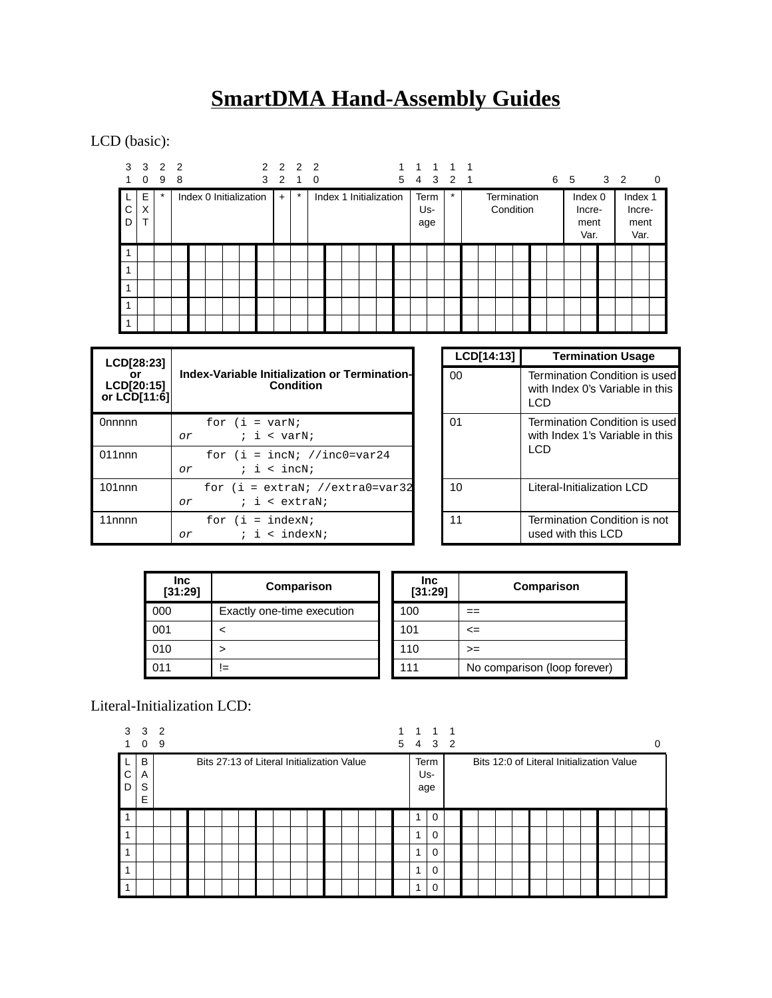# **SmartDMA Hand-Assembly Guides**

LCD (basic):

| 3      | $\overline{\mathbf{3}}$<br>0 | 2 2<br>9 | 8 |                        |  | 3 | 2 2 2 2 | 2 1     | 0 |                        |  | $\overline{1}$ | 1<br>5 4           | 1 1 1<br>3 2 1 |  |                          |  | 6 5 |                                   | $3\quad2$ | $\mathbf 0$                       |
|--------|------------------------------|----------|---|------------------------|--|---|---------|---------|---|------------------------|--|----------------|--------------------|----------------|--|--------------------------|--|-----|-----------------------------------|-----------|-----------------------------------|
| С<br>D | Е<br>X<br>$\mathbf{\tau}$    | $\star$  |   | Index 0 Initialization |  |   | $+$     | $\star$ |   | Index 1 Initialization |  |                | Term<br>Us-<br>age | $\star$        |  | Termination<br>Condition |  |     | Index 0<br>Incre-<br>ment<br>Var. |           | Index 1<br>Incre-<br>ment<br>Var. |
|        |                              |          |   |                        |  |   |         |         |   |                        |  |                |                    |                |  |                          |  |     |                                   |           |                                   |
| 1      |                              |          |   |                        |  |   |         |         |   |                        |  |                |                    |                |  |                          |  |     |                                   |           |                                   |
| 1      |                              |          |   |                        |  |   |         |         |   |                        |  |                |                    |                |  |                          |  |     |                                   |           |                                   |
| 1      |                              |          |   |                        |  |   |         |         |   |                        |  |                |                    |                |  |                          |  |     |                                   |           |                                   |
| 1      |                              |          |   |                        |  |   |         |         |   |                        |  |                |                    |                |  |                          |  |     |                                   |           |                                   |

| LCD[28:23]                       |                                                                   | LCD[14:13] | <b>Termination Usage</b>                                                       |
|----------------------------------|-------------------------------------------------------------------|------------|--------------------------------------------------------------------------------|
| or<br>LCD[20:15]<br>or LCD[11:6] | Index-Variable Initialization or Termination-<br><b>Condition</b> | $00\,$     | Termination Condition is used<br>with Index 0's Variable in this<br><b>LCD</b> |
| Onnnnn                           | for $(i = varN)$<br>; i < varN;<br>or                             | 01         | Termination Condition is used<br>with Index 1's Variable in this               |
| $011$ nnn                        | for $(i = incN; //inc0 = var24$<br>$i \in \text{in}$<br>or        |            | LCD.                                                                           |
| $101$ nnn                        | for $(i = extrank)$ //extra0=var32<br>$i$ i < extraN;<br>or       | 10         | Literal-Initialization LCD                                                     |
| 11 <sub>nnnn</sub>               | for $(i = indexN)$<br>$i \neq \text{indexN}$<br>or                | 11         | Termination Condition is not<br>used with this LCD                             |

| <b>Inc</b><br>[31:29] | Comparison                 | <b>Inc</b><br>[31:29] | Comparison                   |
|-----------------------|----------------------------|-----------------------|------------------------------|
| 000                   | Exactly one-time execution | 100                   |                              |
| 001                   |                            | 101                   | <=                           |
| 010                   | >                          | 110                   | $>=$                         |
| 011                   | !=                         | 111                   | No comparison (loop forever) |

## Literal-Initialization LCD:

| 3      | 3<br>0           | $\mathcal{P}$<br>9 |  |  |  |                                            |  |  |  | 1              | $\overline{1}$<br>5 4 3 2 | -1 |  |  |  |  |                                           | 0 |
|--------|------------------|--------------------|--|--|--|--------------------------------------------|--|--|--|----------------|---------------------------|----|--|--|--|--|-------------------------------------------|---|
| C<br>D | В<br>A<br>S<br>E |                    |  |  |  | Bits 27:13 of Literal Initialization Value |  |  |  | age            | Term<br>Us-               |    |  |  |  |  | Bits 12:0 of Literal Initialization Value |   |
|        |                  |                    |  |  |  |                                            |  |  |  | и              | $\Omega$                  |    |  |  |  |  |                                           |   |
|        |                  |                    |  |  |  |                                            |  |  |  | $\overline{ }$ | $\Omega$                  |    |  |  |  |  |                                           |   |
|        |                  |                    |  |  |  |                                            |  |  |  | $\overline{ }$ | $\Omega$                  |    |  |  |  |  |                                           |   |
|        |                  |                    |  |  |  |                                            |  |  |  | $\overline{ }$ | $\Omega$                  |    |  |  |  |  |                                           |   |
|        |                  |                    |  |  |  |                                            |  |  |  | $\overline{A}$ | $\Omega$                  |    |  |  |  |  |                                           |   |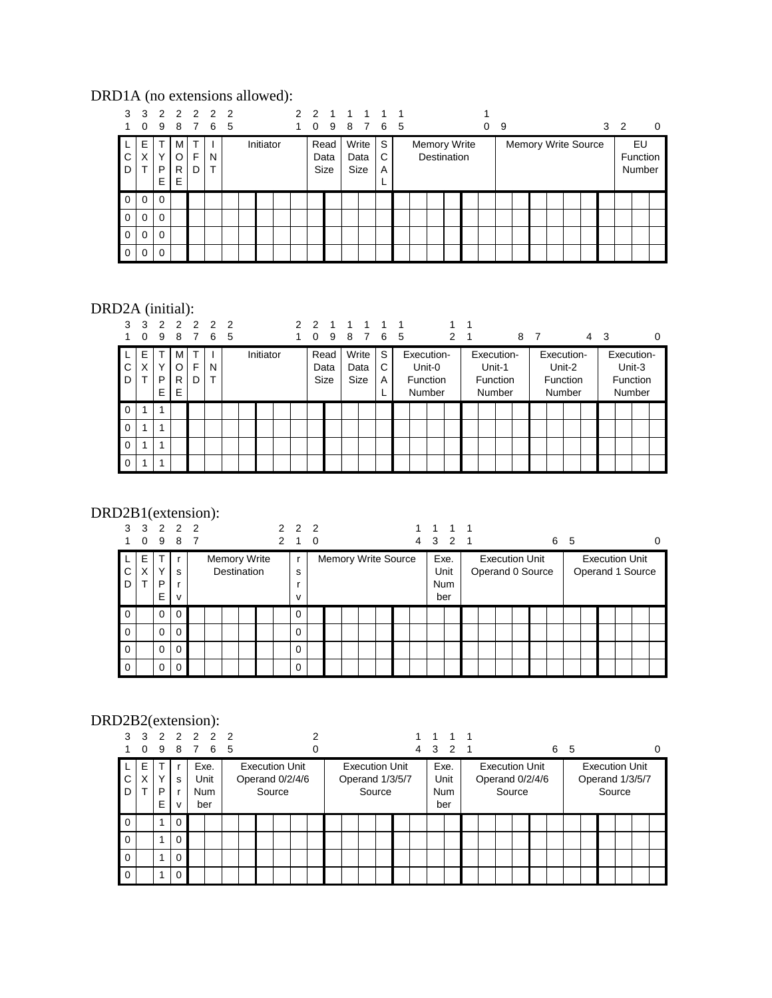#### DRD1A (no extensions allowed):

| 3              | 3<br>$\Omega$ | 9           | 8                      | 22222<br>7 | 6 5 |  |           |  | 2 <sub>2</sub><br>$\Omega$ | 9                    | 1 1 1 |                              | 8 7 6 5          |  |                                    | 0 | 9 |  |  |                            | 3 <sub>2</sub> |                          | 0 |
|----------------|---------------|-------------|------------------------|------------|-----|--|-----------|--|----------------------------|----------------------|-------|------------------------------|------------------|--|------------------------------------|---|---|--|--|----------------------------|----------------|--------------------------|---|
| C.<br>D        | Ε<br>Χ        | v<br>P<br>Е | м<br>$\circ$<br>R<br>Е | F<br>D     | N   |  | Initiator |  |                            | Read<br>Data<br>Size |       | Write<br>Data<br><b>Size</b> | S<br>C<br>A<br>► |  | Memory Write<br><b>Destination</b> |   |   |  |  | <b>Memory Write Source</b> |                | EU<br>Function<br>Number |   |
| l 0            | 0             | $\Omega$    |                        |            |     |  |           |  |                            |                      |       |                              |                  |  |                                    |   |   |  |  |                            |                |                          |   |
| $\overline{0}$ | $\Omega$      | $\Omega$    |                        |            |     |  |           |  |                            |                      |       |                              |                  |  |                                    |   |   |  |  |                            |                |                          |   |
| $\overline{0}$ | $\Omega$      | $\Omega$    |                        |            |     |  |           |  |                            |                      |       |                              |                  |  |                                    |   |   |  |  |                            |                |                          |   |
| $\overline{0}$ | $\Omega$      | $\Omega$    |                        |            |     |  |           |  |                            |                      |       |                              |                  |  |                                    |   |   |  |  |                            |                |                          |   |

## DRD2A (initial):

| 3           | 3  | $\mathcal{P}$ |   | 2 2 | $\mathcal{P}$ | $\overline{2}$ |           | $\mathcal{P}$ | 2        |             |   |       |   | $\overline{\mathbf{1}}$ |            |   |   |        |                 |   |                |            |   |    |        |            |   |
|-------------|----|---------------|---|-----|---------------|----------------|-----------|---------------|----------|-------------|---|-------|---|-------------------------|------------|---|---|--------|-----------------|---|----------------|------------|---|----|--------|------------|---|
|             | 0  | 9             | 8 | 7   | 6             | 5              |           |               | $\Omega$ | 9           | 8 | 7     | 6 | -5                      |            | 2 | 1 |        |                 | 8 | $\overline{7}$ |            | 4 | -3 |        |            | 0 |
|             | E  | ᠇             | M | T   |               |                | Initiator |               |          | Read        |   | Write | S |                         | Execution- |   |   |        | Execution-      |   |                | Execution- |   |    |        | Execution- |   |
| C           | X  | Υ             | O | F   | N             |                |           |               |          | Data        |   | Data  | C |                         | Unit-0     |   |   | Unit-1 |                 |   |                | Unit-2     |   |    | Unit-3 |            |   |
| D           |    | P             | R | D   | ᠇             |                |           |               |          | <b>Size</b> |   | Size  | A |                         | Function   |   |   |        | <b>Function</b> |   |                | Function   |   |    |        | Function   |   |
|             |    | E             | E |     |               |                |           |               |          |             |   |       | ┕ |                         | Number     |   |   |        | Number          |   |                | Number     |   |    |        | Number     |   |
| $\mathbf 0$ |    | 1             |   |     |               |                |           |               |          |             |   |       |   |                         |            |   |   |        |                 |   |                |            |   |    |        |            |   |
| $\mathbf 0$ | -1 | 1             |   |     |               |                |           |               |          |             |   |       |   |                         |            |   |   |        |                 |   |                |            |   |    |        |            |   |
| $\mathbf 0$ | 1  | 1             |   |     |               |                |           |               |          |             |   |       |   |                         |            |   |   |        |                 |   |                |            |   |    |        |            |   |
| $\mathbf 0$ |    | 1             |   |     |               |                |           |               |          |             |   |       |   |                         |            |   |   |        |                 |   |                |            |   |    |        |            |   |

## DRD2B1(extension):

| 3           | $\Omega$    | 3 2 2 2<br>9           | 8 7               |                     |             | 2 | $2\quad 2\quad 2$<br>1 | 0 |  |  |                            | 4 |                    | 1 1 1<br>3 2 1 |  |                                           |  | 6 5 |  |                                           | 0 |
|-------------|-------------|------------------------|-------------------|---------------------|-------------|---|------------------------|---|--|--|----------------------------|---|--------------------|----------------|--|-------------------------------------------|--|-----|--|-------------------------------------------|---|
| C.<br>D     | E<br>X<br>т | $\checkmark$<br>P<br>E | s<br>$\mathsf{V}$ | <b>Memory Write</b> | Destination |   | $\mathsf{r}$<br>s<br>v |   |  |  | <b>Memory Write Source</b> |   | Exe.<br><b>Num</b> | Unit<br>ber    |  | <b>Execution Unit</b><br>Operand 0 Source |  |     |  | <b>Execution Unit</b><br>Operand 1 Source |   |
| 0           |             | 0                      | $\mathbf 0$       |                     |             |   | $\Omega$               |   |  |  |                            |   |                    |                |  |                                           |  |     |  |                                           |   |
| 0           |             | 0                      | $\mathbf 0$       |                     |             |   | $\Omega$               |   |  |  |                            |   |                    |                |  |                                           |  |     |  |                                           |   |
| $\mathbf 0$ |             | $\mathbf 0$            | $\mathbf 0$       |                     |             |   | $\mathbf 0$            |   |  |  |                            |   |                    |                |  |                                           |  |     |  |                                           |   |
| $\Omega$    |             | $\mathbf 0$            | $\mathbf 0$       |                     |             |   | $\Omega$               |   |  |  |                            |   |                    |                |  |                                           |  |     |  |                                           |   |

## DRD2B2(extension):

| 3           | $\Omega$ | 3 2 2 2 2 2<br>9       |                             | 8 7 6 5                           |  |                                                    | 2<br>0 |  |        |                                          | 1 1 1 1<br>4 3 2 1 |                           |                                          |        |  | 6 | -5 |  |        |                                          |  |
|-------------|----------|------------------------|-----------------------------|-----------------------------------|--|----------------------------------------------------|--------|--|--------|------------------------------------------|--------------------|---------------------------|------------------------------------------|--------|--|---|----|--|--------|------------------------------------------|--|
| C<br>D      | E<br>X   | $\checkmark$<br>P<br>E | r<br>s<br>r<br>$\mathsf{v}$ | Exe.<br>Unit<br><b>Num</b><br>ber |  | <b>Execution Unit</b><br>Operand 0/2/4/6<br>Source |        |  | Source | <b>Execution Unit</b><br>Operand 1/3/5/7 | Exe.               | Unit<br><b>Num</b><br>ber | <b>Execution Unit</b><br>Operand 0/2/4/6 | Source |  |   |    |  | Source | <b>Execution Unit</b><br>Operand 1/3/5/7 |  |
| $\Omega$    |          | 1                      | $\Omega$                    |                                   |  |                                                    |        |  |        |                                          |                    |                           |                                          |        |  |   |    |  |        |                                          |  |
| $\Omega$    |          | 1                      | $\mathbf 0$                 |                                   |  |                                                    |        |  |        |                                          |                    |                           |                                          |        |  |   |    |  |        |                                          |  |
| $\Omega$    |          | 1                      | $\mathbf 0$                 |                                   |  |                                                    |        |  |        |                                          |                    |                           |                                          |        |  |   |    |  |        |                                          |  |
| $\mathbf 0$ |          | 1                      | $\mathbf 0$                 |                                   |  |                                                    |        |  |        |                                          |                    |                           |                                          |        |  |   |    |  |        |                                          |  |